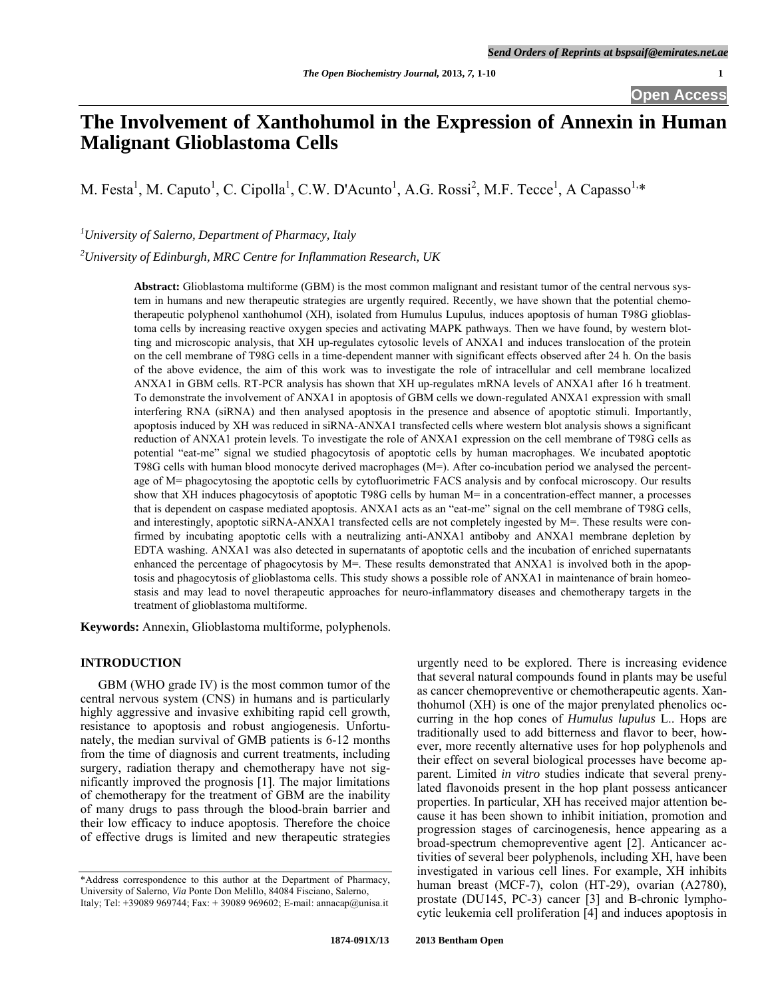# **The Involvement of Xanthohumol in the Expression of Annexin in Human Malignant Glioblastoma Cells**

M. Festa<sup>1</sup>, M. Caputo<sup>1</sup>, C. Cipolla<sup>1</sup>, C.W. D'Acunto<sup>1</sup>, A.G. Rossi<sup>2</sup>, M.F. Tecce<sup>1</sup>, A Capasso<sup>1,\*</sup>

*1 University of Salerno, Department of Pharmacy, Italy* 

*2 University of Edinburgh, MRC Centre for Inflammation Research, UK* 

**Abstract:** Glioblastoma multiforme (GBM) is the most common malignant and resistant tumor of the central nervous system in humans and new therapeutic strategies are urgently required. Recently, we have shown that the potential chemotherapeutic polyphenol xanthohumol (XH), isolated from Humulus Lupulus, induces apoptosis of human T98G glioblastoma cells by increasing reactive oxygen species and activating MAPK pathways. Then we have found, by western blotting and microscopic analysis, that XH up-regulates cytosolic levels of ANXA1 and induces translocation of the protein on the cell membrane of T98G cells in a time-dependent manner with significant effects observed after 24 h. On the basis of the above evidence, the aim of this work was to investigate the role of intracellular and cell membrane localized ANXA1 in GBM cells. RT-PCR analysis has shown that XH up-regulates mRNA levels of ANXA1 after 16 h treatment. To demonstrate the involvement of ANXA1 in apoptosis of GBM cells we down-regulated ANXA1 expression with small interfering RNA (siRNA) and then analysed apoptosis in the presence and absence of apoptotic stimuli. Importantly, apoptosis induced by XH was reduced in siRNA-ANXA1 transfected cells where western blot analysis shows a significant reduction of ANXA1 protein levels. To investigate the role of ANXA1 expression on the cell membrane of T98G cells as potential "eat-me" signal we studied phagocytosis of apoptotic cells by human macrophages. We incubated apoptotic T98G cells with human blood monocyte derived macrophages (M=). After co-incubation period we analysed the percentage of M= phagocytosing the apoptotic cells by cytofluorimetric FACS analysis and by confocal microscopy. Our results show that XH induces phagocytosis of apoptotic T98G cells by human M= in a concentration-effect manner, a processes that is dependent on caspase mediated apoptosis. ANXA1 acts as an "eat-me" signal on the cell membrane of T98G cells, and interestingly, apoptotic siRNA-ANXA1 transfected cells are not completely ingested by M=. These results were confirmed by incubating apoptotic cells with a neutralizing anti-ANXA1 antiboby and ANXA1 membrane depletion by EDTA washing. ANXA1 was also detected in supernatants of apoptotic cells and the incubation of enriched supernatants enhanced the percentage of phagocytosis by M=. These results demonstrated that ANXA1 is involved both in the apoptosis and phagocytosis of glioblastoma cells. This study shows a possible role of ANXA1 in maintenance of brain homeostasis and may lead to novel therapeutic approaches for neuro-inflammatory diseases and chemotherapy targets in the treatment of glioblastoma multiforme.

**Keywords:** Annexin, Glioblastoma multiforme, polyphenols.

# **INTRODUCTION**

 GBM (WHO grade IV) is the most common tumor of the central nervous system (CNS) in humans and is particularly highly aggressive and invasive exhibiting rapid cell growth, resistance to apoptosis and robust angiogenesis. Unfortunately, the median survival of GMB patients is 6-12 months from the time of diagnosis and current treatments, including surgery, radiation therapy and chemotherapy have not significantly improved the prognosis [1]. The major limitations of chemotherapy for the treatment of GBM are the inability of many drugs to pass through the blood-brain barrier and their low efficacy to induce apoptosis. Therefore the choice of effective drugs is limited and new therapeutic strategies

urgently need to be explored. There is increasing evidence that several natural compounds found in plants may be useful as cancer chemopreventive or chemotherapeutic agents. Xanthohumol (XH) is one of the major prenylated phenolics occurring in the hop cones of *Humulus lupulus* L.. Hops are traditionally used to add bitterness and flavor to beer, however, more recently alternative uses for hop polyphenols and their effect on several biological processes have become apparent. Limited *in vitro* studies indicate that several prenylated flavonoids present in the hop plant possess anticancer properties. In particular, XH has received major attention because it has been shown to inhibit initiation, promotion and progression stages of carcinogenesis, hence appearing as a broad-spectrum chemopreventive agent [2]. Anticancer activities of several beer polyphenols, including XH, have been investigated in various cell lines. For example, XH inhibits human breast (MCF-7), colon (HT-29), ovarian (A2780), prostate (DU145, PC-3) cancer [3] and B-chronic lymphocytic leukemia cell proliferation [4] and induces apoptosis in

<sup>\*</sup>Address correspondence to this author at the Department of Pharmacy, University of Salerno, *Via* Ponte Don Melillo, 84084 Fisciano, Salerno, Italy; Tel: +39089 969744; Fax: + 39089 969602; E-mail: annacap@unisa.it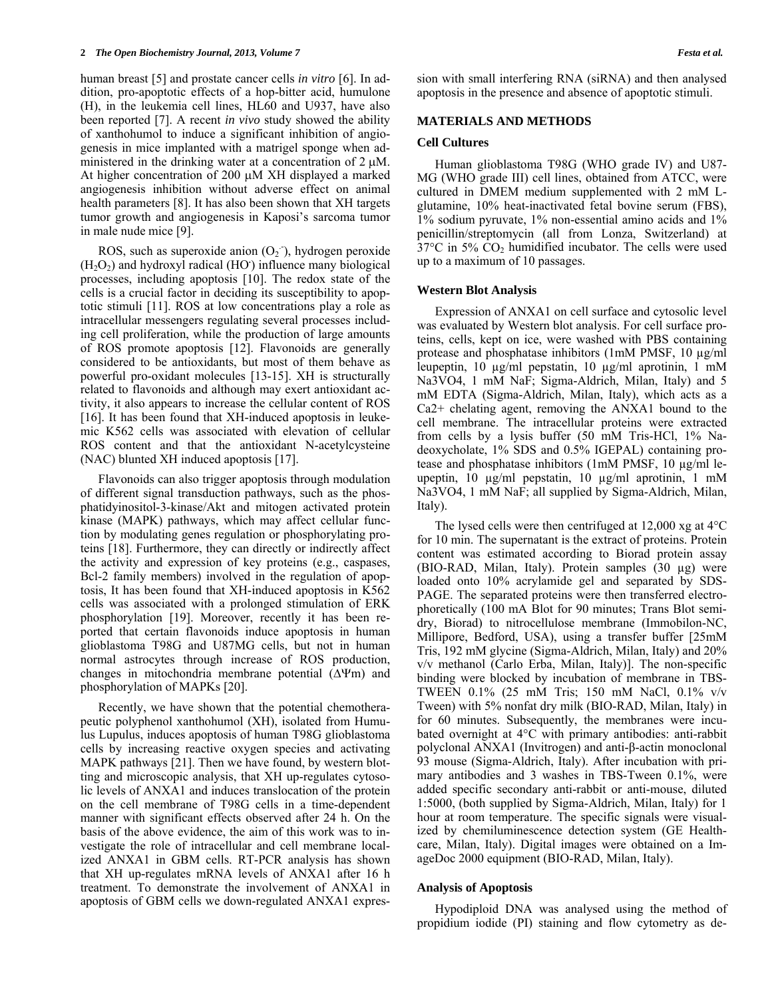human breast [5] and prostate cancer cells *in vitro* [6]. In addition, pro-apoptotic effects of a hop-bitter acid, humulone (H), in the leukemia cell lines, HL60 and U937, have also been reported [7]. A recent *in vivo* study showed the ability of xanthohumol to induce a significant inhibition of angiogenesis in mice implanted with a matrigel sponge when administered in the drinking water at a concentration of  $2 \mu M$ . At higher concentration of 200  $\mu$ M XH displayed a marked angiogenesis inhibition without adverse effect on animal health parameters [8]. It has also been shown that XH targets tumor growth and angiogenesis in Kaposi's sarcoma tumor in male nude mice [9].

ROS, such as superoxide anion  $(O_2)$ , hydrogen peroxide (H2O2) and hydroxyl radical (HO**.** ) influence many biological processes, including apoptosis [10]. The redox state of the cells is a crucial factor in deciding its susceptibility to apoptotic stimuli [11]. ROS at low concentrations play a role as intracellular messengers regulating several processes including cell proliferation, while the production of large amounts of ROS promote apoptosis [12]. Flavonoids are generally considered to be antioxidants, but most of them behave as powerful pro-oxidant molecules [13-15]. XH is structurally related to flavonoids and although may exert antioxidant activity, it also appears to increase the cellular content of ROS [16]. It has been found that XH-induced apoptosis in leukemic K562 cells was associated with elevation of cellular ROS content and that the antioxidant N-acetylcysteine (NAC) blunted XH induced apoptosis [17].

 Flavonoids can also trigger apoptosis through modulation of different signal transduction pathways, such as the phosphatidyinositol-3-kinase/Akt and mitogen activated protein kinase (MAPK) pathways, which may affect cellular function by modulating genes regulation or phosphorylating proteins [18]. Furthermore, they can directly or indirectly affect the activity and expression of key proteins (e.g., caspases, Bcl-2 family members) involved in the regulation of apoptosis, It has been found that XH-induced apoptosis in K562 cells was associated with a prolonged stimulation of ERK phosphorylation [19]. Moreover, recently it has been reported that certain flavonoids induce apoptosis in human glioblastoma T98G and U87MG cells, but not in human normal astrocytes through increase of ROS production, changes in mitochondria membrane potential  $(\Delta \Psi m)$  and phosphorylation of MAPKs [20].

 Recently, we have shown that the potential chemotherapeutic polyphenol xanthohumol (XH), isolated from Humulus Lupulus, induces apoptosis of human T98G glioblastoma cells by increasing reactive oxygen species and activating MAPK pathways [21]. Then we have found, by western blotting and microscopic analysis, that XH up-regulates cytosolic levels of ANXA1 and induces translocation of the protein on the cell membrane of T98G cells in a time-dependent manner with significant effects observed after 24 h. On the basis of the above evidence, the aim of this work was to investigate the role of intracellular and cell membrane localized ANXA1 in GBM cells. RT-PCR analysis has shown that XH up-regulates mRNA levels of ANXA1 after 16 h treatment. To demonstrate the involvement of ANXA1 in apoptosis of GBM cells we down-regulated ANXA1 expression with small interfering RNA (siRNA) and then analysed apoptosis in the presence and absence of apoptotic stimuli.

#### **MATERIALS AND METHODS**

#### **Cell Cultures**

 Human glioblastoma T98G (WHO grade IV) and U87- MG (WHO grade III) cell lines, obtained from ATCC, were cultured in DMEM medium supplemented with 2 mM Lglutamine, 10% heat-inactivated fetal bovine serum (FBS), 1% sodium pyruvate, 1% non-essential amino acids and 1% penicillin/streptomycin (all from Lonza, Switzerland) at  $37^{\circ}$ C in 5%  $CO_2$  humidified incubator. The cells were used up to a maximum of 10 passages.

#### **Western Blot Analysis**

 Expression of ANXA1 on cell surface and cytosolic level was evaluated by Western blot analysis. For cell surface proteins, cells, kept on ice, were washed with PBS containing protease and phosphatase inhibitors (1mM PMSF, 10 µg/ml leupeptin, 10 µg/ml pepstatin, 10 µg/ml aprotinin, 1 mM Na3VO4, 1 mM NaF; Sigma-Aldrich, Milan, Italy) and 5 mM EDTA (Sigma-Aldrich, Milan, Italy), which acts as a Ca2+ chelating agent, removing the ANXA1 bound to the cell membrane. The intracellular proteins were extracted from cells by a lysis buffer (50 mM Tris-HCl, 1% Nadeoxycholate, 1% SDS and 0.5% IGEPAL) containing protease and phosphatase inhibitors (1mM PMSF, 10 µg/ml leupeptin, 10 µg/ml pepstatin, 10 µg/ml aprotinin, 1 mM Na3VO4, 1 mM NaF; all supplied by Sigma-Aldrich, Milan, Italy).

 The lysed cells were then centrifuged at 12,000 xg at 4°C for 10 min. The supernatant is the extract of proteins. Protein content was estimated according to Biorad protein assay (BIO-RAD, Milan, Italy). Protein samples (30 µg) were loaded onto 10% acrylamide gel and separated by SDS-PAGE. The separated proteins were then transferred electrophoretically (100 mA Blot for 90 minutes; Trans Blot semidry, Biorad) to nitrocellulose membrane (Immobilon-NC, Millipore, Bedford, USA), using a transfer buffer [25mM Tris, 192 mM glycine (Sigma-Aldrich, Milan, Italy) and 20% v/v methanol (Carlo Erba, Milan, Italy)]. The non-specific binding were blocked by incubation of membrane in TBS-TWEEN 0.1% (25 mM Tris; 150 mM NaCl, 0.1% v/v Tween) with 5% nonfat dry milk (BIO-RAD, Milan, Italy) in for 60 minutes. Subsequently, the membranes were incubated overnight at 4°C with primary antibodies: anti-rabbit polyclonal ANXA1 (Invitrogen) and anti-β-actin monoclonal 93 mouse (Sigma-Aldrich, Italy). After incubation with primary antibodies and 3 washes in TBS-Tween 0.1%, were added specific secondary anti-rabbit or anti-mouse, diluted 1:5000, (both supplied by Sigma-Aldrich, Milan, Italy) for 1 hour at room temperature. The specific signals were visualized by chemiluminescence detection system (GE Healthcare, Milan, Italy). Digital images were obtained on a ImageDoc 2000 equipment (BIO-RAD, Milan, Italy).

#### **Analysis of Apoptosis**

 Hypodiploid DNA was analysed using the method of propidium iodide (PI) staining and flow cytometry as de-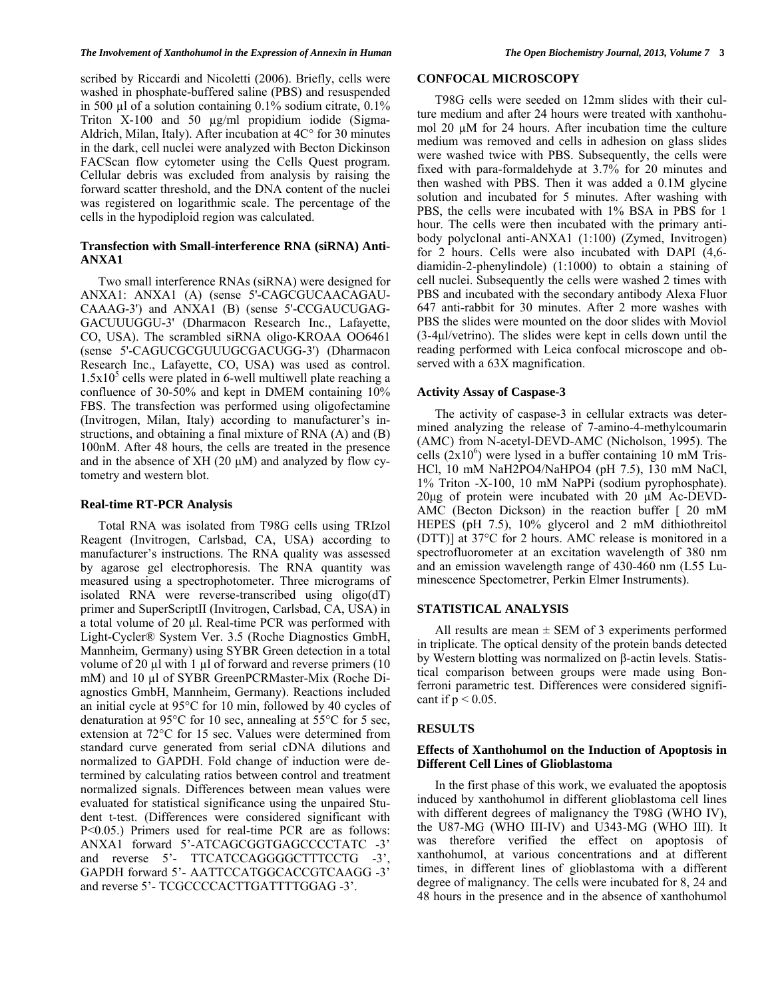#### *The Involvement of Xanthohumol in the Expression of Annexin in Human The Open Biochemistry Journal, 2013, Volume 7* **3**

scribed by Riccardi and Nicoletti (2006). Briefly, cells were washed in phosphate-buffered saline (PBS) and resuspended in 500 µl of a solution containing 0.1% sodium citrate, 0.1% Triton X-100 and 50 µg/ml propidium iodide (Sigma-Aldrich, Milan, Italy). After incubation at 4C° for 30 minutes in the dark, cell nuclei were analyzed with Becton Dickinson FACScan flow cytometer using the Cells Quest program. Cellular debris was excluded from analysis by raising the forward scatter threshold, and the DNA content of the nuclei was registered on logarithmic scale. The percentage of the cells in the hypodiploid region was calculated.

# **Transfection with Small-interference RNA (siRNA) Anti-ANXA1**

 Two small interference RNAs (siRNA) were designed for ANXA1: ANXA1 (A) (sense 5'-CAGCGUCAACAGAU-CAAAG-3') and ANXA1 (B) (sense 5'-CCGAUCUGAG-GACUUUGGU-3' (Dharmacon Research Inc., Lafayette, CO, USA). The scrambled siRNA oligo-KROAA OO6461 (sense 5'-CAGUCGCGUUUGCGACUGG-3') (Dharmacon Research Inc., Lafayette, CO, USA) was used as control.  $1.5x10<sup>5</sup>$  cells were plated in 6-well multiwell plate reaching a confluence of 30-50% and kept in DMEM containing 10% FBS. The transfection was performed using oligofectamine (Invitrogen, Milan, Italy) according to manufacturer's instructions, and obtaining a final mixture of RNA (A) and (B) 100nM. After 48 hours, the cells are treated in the presence and in the absence of  $XH (20 \mu M)$  and analyzed by flow cytometry and western blot.

#### **Real-time RT-PCR Analysis**

 Total RNA was isolated from T98G cells using TRIzol Reagent (Invitrogen, Carlsbad, CA, USA) according to manufacturer's instructions. The RNA quality was assessed by agarose gel electrophoresis. The RNA quantity was measured using a spectrophotometer. Three micrograms of isolated RNA were reverse-transcribed using oligo(dT) primer and SuperScriptII (Invitrogen, Carlsbad, CA, USA) in a total volume of 20 μl. Real-time PCR was performed with Light-Cycler® System Ver. 3.5 (Roche Diagnostics GmbH, Mannheim, Germany) using SYBR Green detection in a total volume of 20  $\mu$ l with 1  $\mu$ l of forward and reverse primers (10 mM) and 10 μl of SYBR GreenPCRMaster-Mix (Roche Diagnostics GmbH, Mannheim, Germany). Reactions included an initial cycle at 95°C for 10 min, followed by 40 cycles of denaturation at 95°C for 10 sec, annealing at 55°C for 5 sec, extension at 72°C for 15 sec. Values were determined from standard curve generated from serial cDNA dilutions and normalized to GAPDH. Fold change of induction were determined by calculating ratios between control and treatment normalized signals. Differences between mean values were evaluated for statistical significance using the unpaired Student t-test. (Differences were considered significant with P<0.05.) Primers used for real-time PCR are as follows: ANXA1 forward 5'-ATCAGCGGTGAGCCCCTATC -3' and reverse 5'- TTCATCCAGGGGCTTTCCTG -3', GAPDH forward 5'- AATTCCATGGCACCGTCAAGG -3' and reverse 5'- TCGCCCCACTTGATTTTGGAG -3'.

# **CONFOCAL MICROSCOPY**

 T98G cells were seeded on 12mm slides with their culture medium and after 24 hours were treated with xanthohumol 20 µM for 24 hours. After incubation time the culture medium was removed and cells in adhesion on glass slides were washed twice with PBS. Subsequently, the cells were fixed with para-formaldehyde at 3.7% for 20 minutes and then washed with PBS. Then it was added a 0.1M glycine solution and incubated for 5 minutes. After washing with PBS, the cells were incubated with 1% BSA in PBS for 1 hour. The cells were then incubated with the primary antibody polyclonal anti-ANXA1 (1:100) (Zymed, Invitrogen) for 2 hours. Cells were also incubated with DAPI (4,6 diamidin-2-phenylindole) (1:1000) to obtain a staining of cell nuclei. Subsequently the cells were washed 2 times with PBS and incubated with the secondary antibody Alexa Fluor 647 anti-rabbit for 30 minutes. After 2 more washes with PBS the slides were mounted on the door slides with Moviol (3-4μl/vetrino). The slides were kept in cells down until the reading performed with Leica confocal microscope and observed with a 63X magnification.

#### **Activity Assay of Caspase-3**

 The activity of caspase-3 in cellular extracts was determined analyzing the release of 7-amino-4-methylcoumarin (AMC) from N-acetyl-DEVD-AMC (Nicholson, 1995). The cells  $(2x10<sup>6</sup>)$  were lysed in a buffer containing 10 mM Tris-HCl, 10 mM NaH2PO4/NaHPO4 (pH 7.5), 130 mM NaCl, 1% Triton -X-100, 10 mM NaPPi (sodium pyrophosphate). 20μg of protein were incubated with 20 μM Ac-DEVD-AMC (Becton Dickson) in the reaction buffer [ 20 mM HEPES (pH 7.5), 10% glycerol and 2 mM dithiothreitol (DTT)] at 37°C for 2 hours. AMC release is monitored in a spectrofluorometer at an excitation wavelength of 380 nm and an emission wavelength range of 430-460 nm (L55 Luminescence Spectometrer, Perkin Elmer Instruments).

# **STATISTICAL ANALYSIS**

All results are mean  $\pm$  SEM of 3 experiments performed in triplicate. The optical density of the protein bands detected by Western blotting was normalized on β-actin levels. Statistical comparison between groups were made using Bonferroni parametric test. Differences were considered significant if  $p < 0.05$ .

#### **RESULTS**

#### **Effects of Xanthohumol on the Induction of Apoptosis in Different Cell Lines of Glioblastoma**

 In the first phase of this work, we evaluated the apoptosis induced by xanthohumol in different glioblastoma cell lines with different degrees of malignancy the T98G (WHO IV), the U87-MG (WHO III-IV) and U343-MG (WHO III). It was therefore verified the effect on apoptosis of xanthohumol, at various concentrations and at different times, in different lines of glioblastoma with a different degree of malignancy. The cells were incubated for 8, 24 and 48 hours in the presence and in the absence of xanthohumol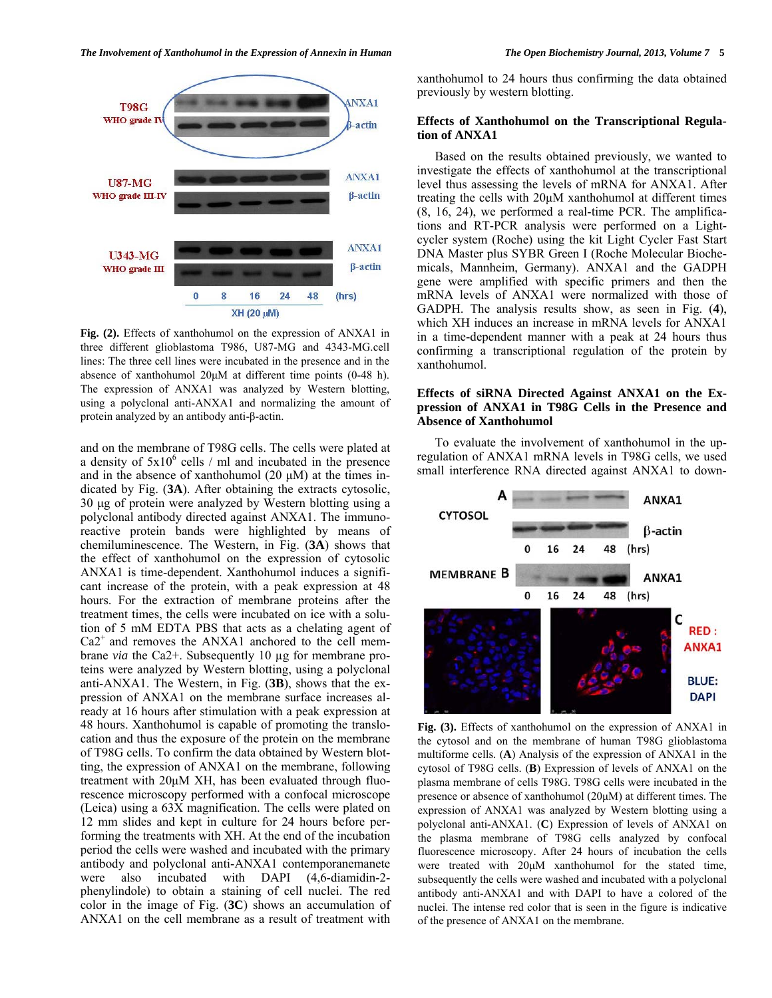

**Fig. (2).** Effects of xanthohumol on the expression of ANXA1 in three different glioblastoma T986, U87-MG and 4343-MG.cell lines: The three cell lines were incubated in the presence and in the absence of xanthohumol 20μM at different time points (0-48 h). The expression of ANXA1 was analyzed by Western blotting, using a polyclonal anti-ANXA1 and normalizing the amount of protein analyzed by an antibody anti-β-actin.

and on the membrane of T98G cells. The cells were plated at a density of  $5x10^6$  cells / ml and incubated in the presence and in the absence of xanthohumol  $(20 \mu M)$  at the times indicated by Fig. (**3A**). After obtaining the extracts cytosolic, 30 μg of protein were analyzed by Western blotting using a polyclonal antibody directed against ANXA1. The immunoreactive protein bands were highlighted by means of chemiluminescence. The Western, in Fig. (**3A**) shows that the effect of xanthohumol on the expression of cytosolic ANXA1 is time-dependent. Xanthohumol induces a significant increase of the protein, with a peak expression at 48 hours. For the extraction of membrane proteins after the treatment times, the cells were incubated on ice with a solution of 5 mM EDTA PBS that acts as a chelating agent of  $Ca2^+$  and removes the ANXA1 anchored to the cell membrane *via* the Ca2+. Subsequently 10 µg for membrane proteins were analyzed by Western blotting, using a polyclonal anti-ANXA1. The Western, in Fig. (**3B**), shows that the expression of ANXA1 on the membrane surface increases already at 16 hours after stimulation with a peak expression at 48 hours. Xanthohumol is capable of promoting the translocation and thus the exposure of the protein on the membrane of T98G cells. To confirm the data obtained by Western blotting, the expression of ANXA1 on the membrane, following treatment with 20μM XH, has been evaluated through fluorescence microscopy performed with a confocal microscope (Leica) using a 63X magnification. The cells were plated on 12 mm slides and kept in culture for 24 hours before performing the treatments with XH. At the end of the incubation period the cells were washed and incubated with the primary antibody and polyclonal anti-ANXA1 contemporanemanete were also incubated with DAPI (4,6-diamidin-2 phenylindole) to obtain a staining of cell nuclei. The red color in the image of Fig. (**3C**) shows an accumulation of ANXA1 on the cell membrane as a result of treatment with

xanthohumol to 24 hours thus confirming the data obtained previously by western blotting.

#### **Effects of Xanthohumol on the Transcriptional Regulation of ANXA1**

 Based on the results obtained previously, we wanted to investigate the effects of xanthohumol at the transcriptional level thus assessing the levels of mRNA for ANXA1. After treating the cells with 20μM xanthohumol at different times (8, 16, 24), we performed a real-time PCR. The amplifications and RT-PCR analysis were performed on a Lightcycler system (Roche) using the kit Light Cycler Fast Start DNA Master plus SYBR Green I (Roche Molecular Biochemicals, Mannheim, Germany). ANXA1 and the GADPH gene were amplified with specific primers and then the mRNA levels of ANXA1 were normalized with those of GADPH. The analysis results show, as seen in Fig. (**4**), which XH induces an increase in mRNA levels for ANXA1 in a time-dependent manner with a peak at 24 hours thus confirming a transcriptional regulation of the protein by xanthohumol.

# **Effects of siRNA Directed Against ANXA1 on the Expression of ANXA1 in T98G Cells in the Presence and Absence of Xanthohumol**

 To evaluate the involvement of xanthohumol in the upregulation of ANXA1 mRNA levels in T98G cells, we used small interference RNA directed against ANXA1 to down-

**Fig. (3).** Effects of xanthohumol on the expression of ANXA1 in the cytosol and on the membrane of human T98G glioblastoma multiforme cells. (**A**) Analysis of the expression of ANXA1 in the cytosol of T98G cells. (**B**) Expression of levels of ANXA1 on the plasma membrane of cells T98G. T98G cells were incubated in the presence or absence of xanthohumol (20μM) at different times. The expression of ANXA1 was analyzed by Western blotting using a polyclonal anti-ANXA1. (**C**) Expression of levels of ANXA1 on the plasma membrane of T98G cells analyzed by confocal fluorescence microscopy. After 24 hours of incubation the cells were treated with 20μM xanthohumol for the stated time, subsequently the cells were washed and incubated with a polyclonal antibody anti-ANXA1 and with DAPI to have a colored of the nuclei. The intense red color that is seen in the figure is indicative of the presence of ANXA1 on the membrane.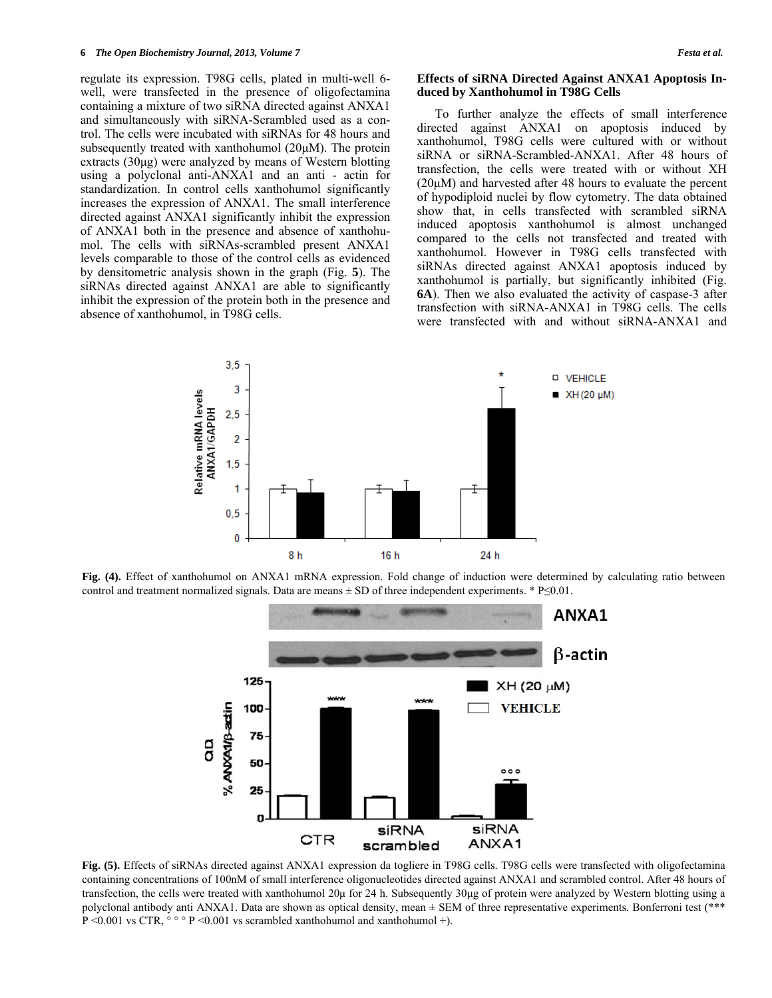regulate its expression. T98G cells, plated in multi-well 6 well, were transfected in the presence of oligofectamina containing a mixture of two siRNA directed against ANXA1 and simultaneously with siRNA-Scrambled used as a control. The cells were incubated with siRNAs for 48 hours and subsequently treated with xanthohumol (20μM). The protein extracts (30μg) were analyzed by means of Western blotting using a polyclonal anti-ANXA1 and an anti - actin for standardization. In control cells xanthohumol significantly increases the expression of ANXA1. The small interference directed against ANXA1 significantly inhibit the expression of ANXA1 both in the presence and absence of xanthohumol. The cells with siRNAs-scrambled present ANXA1 levels comparable to those of the control cells as evidenced by densitometric analysis shown in the graph (Fig. **5**). The siRNAs directed against ANXA1 are able to significantly inhibit the expression of the protein both in the presence and absence of xanthohumol, in T98G cells.

#### **Effects of siRNA Directed Against ANXA1 Apoptosis Induced by Xanthohumol in T98G Cells**

 To further analyze the effects of small interference directed against ANXA1 on apoptosis induced by xanthohumol, T98G cells were cultured with or without siRNA or siRNA-Scrambled-ANXA1. After 48 hours of transfection, the cells were treated with or without XH (20μM) and harvested after 48 hours to evaluate the percent of hypodiploid nuclei by flow cytometry. The data obtained show that, in cells transfected with scrambled siRNA induced apoptosis xanthohumol is almost unchanged compared to the cells not transfected and treated with xanthohumol. However in T98G cells transfected with siRNAs directed against ANXA1 apoptosis induced by xanthohumol is partially, but significantly inhibited (Fig. **6A**). Then we also evaluated the activity of caspase-3 after transfection with siRNA-ANXA1 in T98G cells. The cells were transfected with and without siRNA-ANXA1 and



**Fig. (4).** Effect of xanthohumol on ANXA1 mRNA expression. Fold change of induction were determined by calculating ratio between control and treatment normalized signals. Data are means  $\pm$  SD of three independent experiments. \* P $\leq$ 0.01.



**Fig. (5).** Effects of siRNAs directed against ANXA1 expression da togliere in T98G cells. T98G cells were transfected with oligofectamina containing concentrations of 100nM of small interference oligonucleotides directed against ANXA1 and scrambled control. After 48 hours of transfection, the cells were treated with xanthohumol 20μ for 24 h. Subsequently 30μg of protein were analyzed by Western blotting using a polyclonal antibody anti ANXA1. Data are shown as optical density, mean  $\pm$  SEM of three representative experiments. Bonferroni test (\*\*\* P < 0.001 vs CTR,  $\circ \circ \circ$  P < 0.001 vs scrambled xanthohumol and xanthohumol +).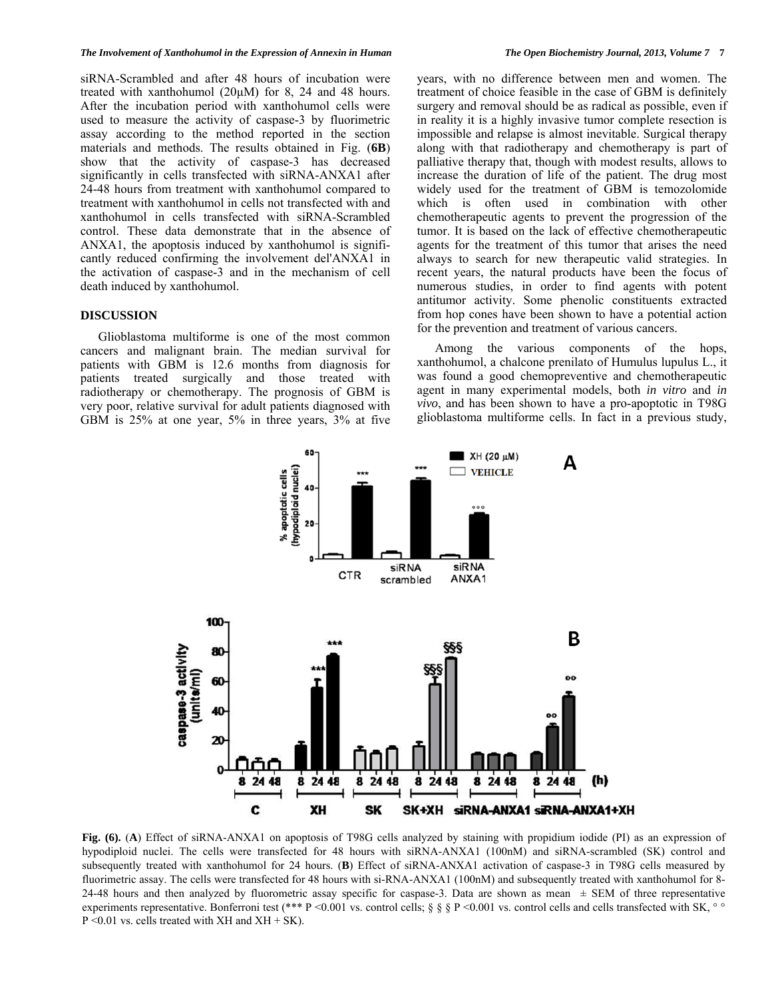siRNA-Scrambled and after 48 hours of incubation were treated with xanthohumol (20μM) for 8, 24 and 48 hours. After the incubation period with xanthohumol cells were used to measure the activity of caspase-3 by fluorimetric assay according to the method reported in the section materials and methods. The results obtained in Fig. (**6B**) show that the activity of caspase-3 has decreased significantly in cells transfected with siRNA-ANXA1 after 24-48 hours from treatment with xanthohumol compared to treatment with xanthohumol in cells not transfected with and xanthohumol in cells transfected with siRNA-Scrambled control. These data demonstrate that in the absence of ANXA1, the apoptosis induced by xanthohumol is significantly reduced confirming the involvement del'ANXA1 in the activation of caspase-3 and in the mechanism of cell death induced by xanthohumol.

# **DISCUSSION**

 Glioblastoma multiforme is one of the most common cancers and malignant brain. The median survival for patients with GBM is 12.6 months from diagnosis for patients treated surgically and those treated with radiotherapy or chemotherapy. The prognosis of GBM is very poor, relative survival for adult patients diagnosed with GBM is 25% at one year, 5% in three years, 3% at five years, with no difference between men and women. The treatment of choice feasible in the case of GBM is definitely surgery and removal should be as radical as possible, even if in reality it is a highly invasive tumor complete resection is impossible and relapse is almost inevitable. Surgical therapy along with that radiotherapy and chemotherapy is part of palliative therapy that, though with modest results, allows to increase the duration of life of the patient. The drug most widely used for the treatment of GBM is temozolomide which is often used in combination with other chemotherapeutic agents to prevent the progression of the tumor. It is based on the lack of effective chemotherapeutic agents for the treatment of this tumor that arises the need always to search for new therapeutic valid strategies. In recent years, the natural products have been the focus of numerous studies, in order to find agents with potent antitumor activity. Some phenolic constituents extracted from hop cones have been shown to have a potential action for the prevention and treatment of various cancers.

 Among the various components of the hops, xanthohumol, a chalcone prenilato of Humulus lupulus L., it was found a good chemopreventive and chemotherapeutic agent in many experimental models, both *in vitro* and *in vivo*, and has been shown to have a pro-apoptotic in T98G glioblastoma multiforme cells. In fact in a previous study,



**Fig. (6).** (**A**) Effect of siRNA-ANXA1 on apoptosis of T98G cells analyzed by staining with propidium iodide (PI) as an expression of hypodiploid nuclei. The cells were transfected for 48 hours with siRNA-ANXA1 (100nM) and siRNA-scrambled (SK) control and subsequently treated with xanthohumol for 24 hours. (**B**) Effect of siRNA-ANXA1 activation of caspase-3 in T98G cells measured by fluorimetric assay. The cells were transfected for 48 hours with si-RNA-ANXA1 (100nM) and subsequently treated with xanthohumol for 8- 24-48 hours and then analyzed by fluorometric assay specific for caspase-3. Data are shown as mean  $\pm$  SEM of three representative experiments representative. Bonferroni test (\*\*\* P <0.001 vs. control cells; § § P <0.001 vs. control cells and cells transfected with SK,  $\degree$  $P \le 0.01$  vs. cells treated with XH and XH + SK).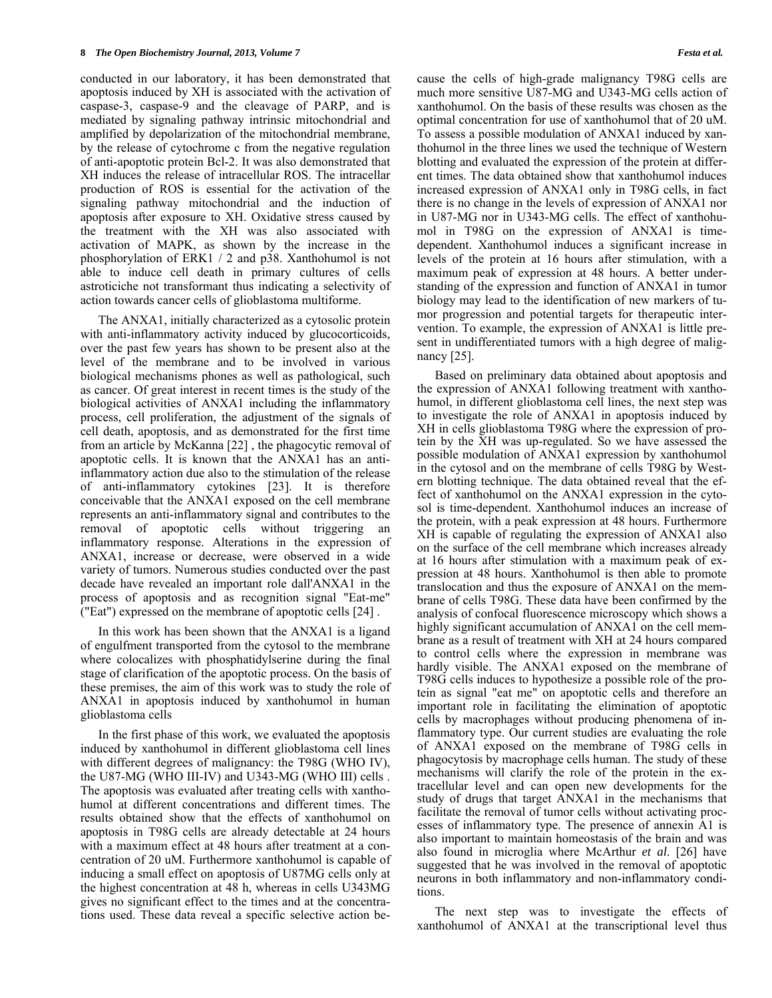conducted in our laboratory, it has been demonstrated that apoptosis induced by XH is associated with the activation of caspase-3, caspase-9 and the cleavage of PARP, and is mediated by signaling pathway intrinsic mitochondrial and amplified by depolarization of the mitochondrial membrane, by the release of cytochrome c from the negative regulation of anti-apoptotic protein Bcl-2. It was also demonstrated that XH induces the release of intracellular ROS. The intracellar production of ROS is essential for the activation of the signaling pathway mitochondrial and the induction of apoptosis after exposure to XH. Oxidative stress caused by the treatment with the XH was also associated with activation of MAPK, as shown by the increase in the phosphorylation of ERK1 / 2 and p38. Xanthohumol is not able to induce cell death in primary cultures of cells astroticiche not transformant thus indicating a selectivity of action towards cancer cells of glioblastoma multiforme.

 The ANXA1, initially characterized as a cytosolic protein with anti-inflammatory activity induced by glucocorticoids, over the past few years has shown to be present also at the level of the membrane and to be involved in various biological mechanisms phones as well as pathological, such as cancer. Of great interest in recent times is the study of the biological activities of ANXA1 including the inflammatory process, cell proliferation, the adjustment of the signals of cell death, apoptosis, and as demonstrated for the first time from an article by McKanna [22] , the phagocytic removal of apoptotic cells. It is known that the ANXA1 has an antiinflammatory action due also to the stimulation of the release of anti-inflammatory cytokines [23]. It is therefore conceivable that the ANXA1 exposed on the cell membrane represents an anti-inflammatory signal and contributes to the removal of apoptotic cells without triggering an inflammatory response. Alterations in the expression of ANXA1, increase or decrease, were observed in a wide variety of tumors. Numerous studies conducted over the past decade have revealed an important role dall'ANXA1 in the process of apoptosis and as recognition signal "Eat-me" ("Eat") expressed on the membrane of apoptotic cells [24] .

 In this work has been shown that the ANXA1 is a ligand of engulfment transported from the cytosol to the membrane where colocalizes with phosphatidylserine during the final stage of clarification of the apoptotic process. On the basis of these premises, the aim of this work was to study the role of ANXA1 in apoptosis induced by xanthohumol in human glioblastoma cells

 In the first phase of this work, we evaluated the apoptosis induced by xanthohumol in different glioblastoma cell lines with different degrees of malignancy: the T98G (WHO IV), the U87-MG (WHO III-IV) and U343-MG (WHO III) cells . The apoptosis was evaluated after treating cells with xanthohumol at different concentrations and different times. The results obtained show that the effects of xanthohumol on apoptosis in T98G cells are already detectable at 24 hours with a maximum effect at 48 hours after treatment at a concentration of 20 uM. Furthermore xanthohumol is capable of inducing a small effect on apoptosis of U87MG cells only at the highest concentration at 48 h, whereas in cells U343MG gives no significant effect to the times and at the concentrations used. These data reveal a specific selective action because the cells of high-grade malignancy T98G cells are much more sensitive U87-MG and U343-MG cells action of xanthohumol. On the basis of these results was chosen as the optimal concentration for use of xanthohumol that of 20 uM. To assess a possible modulation of ANXA1 induced by xanthohumol in the three lines we used the technique of Western blotting and evaluated the expression of the protein at different times. The data obtained show that xanthohumol induces increased expression of ANXA1 only in T98G cells, in fact there is no change in the levels of expression of ANXA1 nor in U87-MG nor in U343-MG cells. The effect of xanthohumol in T98G on the expression of ANXA1 is timedependent. Xanthohumol induces a significant increase in levels of the protein at 16 hours after stimulation, with a maximum peak of expression at 48 hours. A better understanding of the expression and function of ANXA1 in tumor biology may lead to the identification of new markers of tumor progression and potential targets for therapeutic intervention. To example, the expression of ANXA1 is little present in undifferentiated tumors with a high degree of malignancy [25].

 Based on preliminary data obtained about apoptosis and the expression of ANXA1 following treatment with xanthohumol, in different glioblastoma cell lines, the next step was to investigate the role of ANXA1 in apoptosis induced by XH in cells glioblastoma T98G where the expression of protein by the XH was up-regulated. So we have assessed the possible modulation of ANXA1 expression by xanthohumol in the cytosol and on the membrane of cells T98G by Western blotting technique. The data obtained reveal that the effect of xanthohumol on the ANXA1 expression in the cytosol is time-dependent. Xanthohumol induces an increase of the protein, with a peak expression at 48 hours. Furthermore XH is capable of regulating the expression of ANXA1 also on the surface of the cell membrane which increases already at 16 hours after stimulation with a maximum peak of expression at 48 hours. Xanthohumol is then able to promote translocation and thus the exposure of ANXA1 on the membrane of cells T98G. These data have been confirmed by the analysis of confocal fluorescence microscopy which shows a highly significant accumulation of ANXA1 on the cell membrane as a result of treatment with XH at 24 hours compared to control cells where the expression in membrane was hardly visible. The ANXA1 exposed on the membrane of T98G cells induces to hypothesize a possible role of the protein as signal "eat me" on apoptotic cells and therefore an important role in facilitating the elimination of apoptotic cells by macrophages without producing phenomena of inflammatory type. Our current studies are evaluating the role of ANXA1 exposed on the membrane of T98G cells in phagocytosis by macrophage cells human. The study of these mechanisms will clarify the role of the protein in the extracellular level and can open new developments for the study of drugs that target ANXA1 in the mechanisms that facilitate the removal of tumor cells without activating processes of inflammatory type. The presence of annexin A1 is also important to maintain homeostasis of the brain and was also found in microglia where McArthur *et al*. [26] have suggested that he was involved in the removal of apoptotic neurons in both inflammatory and non-inflammatory conditions.

 The next step was to investigate the effects of xanthohumol of ANXA1 at the transcriptional level thus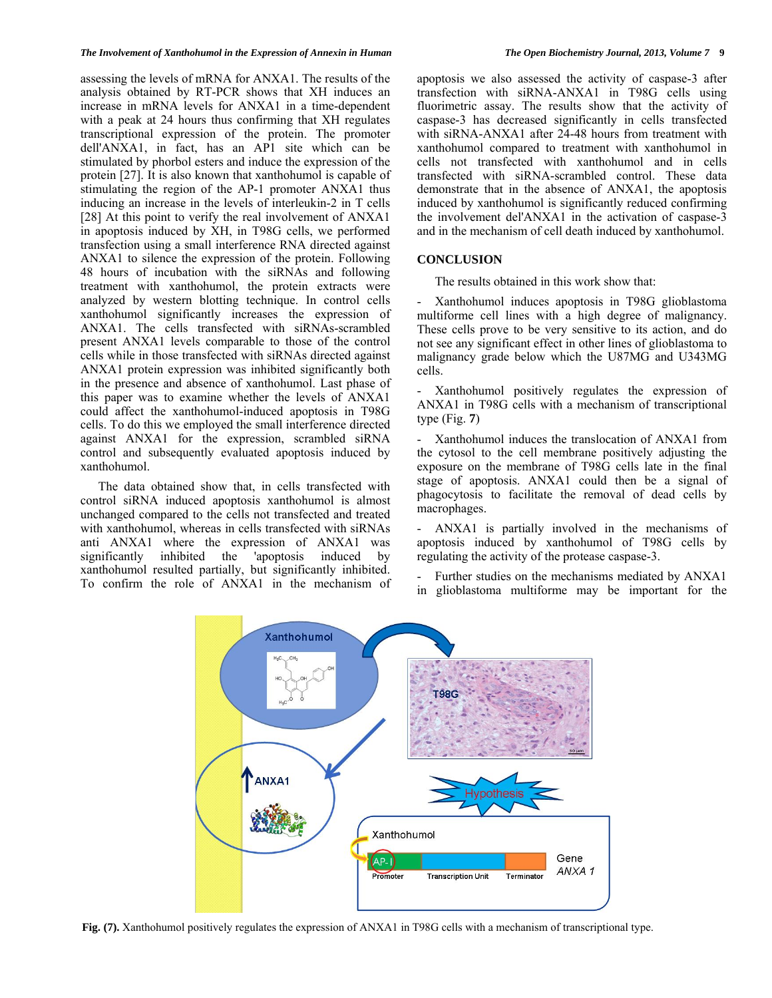assessing the levels of mRNA for ANXA1. The results of the analysis obtained by RT-PCR shows that XH induces an increase in mRNA levels for ANXA1 in a time-dependent with a peak at 24 hours thus confirming that XH regulates transcriptional expression of the protein. The promoter dell'ANXA1, in fact, has an AP1 site which can be stimulated by phorbol esters and induce the expression of the protein [27]. It is also known that xanthohumol is capable of stimulating the region of the AP-1 promoter ANXA1 thus inducing an increase in the levels of interleukin-2 in T cells [28] At this point to verify the real involvement of ANXA1 in apoptosis induced by XH, in T98G cells, we performed transfection using a small interference RNA directed against ANXA1 to silence the expression of the protein. Following 48 hours of incubation with the siRNAs and following treatment with xanthohumol, the protein extracts were analyzed by western blotting technique. In control cells xanthohumol significantly increases the expression of ANXA1. The cells transfected with siRNAs-scrambled present ANXA1 levels comparable to those of the control cells while in those transfected with siRNAs directed against ANXA1 protein expression was inhibited significantly both in the presence and absence of xanthohumol. Last phase of this paper was to examine whether the levels of ANXA1 could affect the xanthohumol-induced apoptosis in T98G cells. To do this we employed the small interference directed against ANXA1 for the expression, scrambled siRNA control and subsequently evaluated apoptosis induced by xanthohumol.

 The data obtained show that, in cells transfected with control siRNA induced apoptosis xanthohumol is almost unchanged compared to the cells not transfected and treated with xanthohumol, whereas in cells transfected with siRNAs anti ANXA1 where the expression of ANXA1 was significantly inhibited the 'apoptosis induced by xanthohumol resulted partially, but significantly inhibited. To confirm the role of ANXA1 in the mechanism of apoptosis we also assessed the activity of caspase-3 after transfection with siRNA-ANXA1 in T98G cells using fluorimetric assay. The results show that the activity of caspase-3 has decreased significantly in cells transfected with siRNA-ANXA1 after 24-48 hours from treatment with xanthohumol compared to treatment with xanthohumol in cells not transfected with xanthohumol and in cells transfected with siRNA-scrambled control. These data demonstrate that in the absence of ANXA1, the apoptosis induced by xanthohumol is significantly reduced confirming the involvement del'ANXA1 in the activation of caspase-3 and in the mechanism of cell death induced by xanthohumol.

### **CONCLUSION**

The results obtained in this work show that:

- Xanthohumol induces apoptosis in T98G glioblastoma multiforme cell lines with a high degree of malignancy. These cells prove to be very sensitive to its action, and do not see any significant effect in other lines of glioblastoma to malignancy grade below which the U87MG and U343MG cells.

- Xanthohumol positively regulates the expression of ANXA1 in T98G cells with a mechanism of transcriptional type (Fig. **7**)

- Xanthohumol induces the translocation of ANXA1 from the cytosol to the cell membrane positively adjusting the exposure on the membrane of T98G cells late in the final stage of apoptosis. ANXA1 could then be a signal of phagocytosis to facilitate the removal of dead cells by macrophages.

- ANXA1 is partially involved in the mechanisms of apoptosis induced by xanthohumol of T98G cells by regulating the activity of the protease caspase-3.

Further studies on the mechanisms mediated by ANXA1 in glioblastoma multiforme may be important for the



**Fig. (7).** Xanthohumol positively regulates the expression of ANXA1 in T98G cells with a mechanism of transcriptional type.